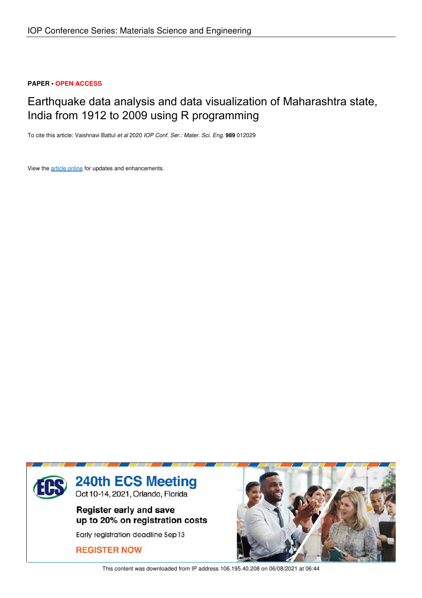# **PAPER • OPEN ACCESS**

# Earthquake data analysis and data visualization of Maharashtra state, India from 1912 to 2009 using R programming

To cite this article: Vaishnavi Battul *et al* 2020 *IOP Conf. Ser.: Mater. Sci. Eng.* **989** 012029

View the article online for updates and enhancements.



This content was downloaded from IP address 106.195.40.208 on 06/08/2021 at 06:44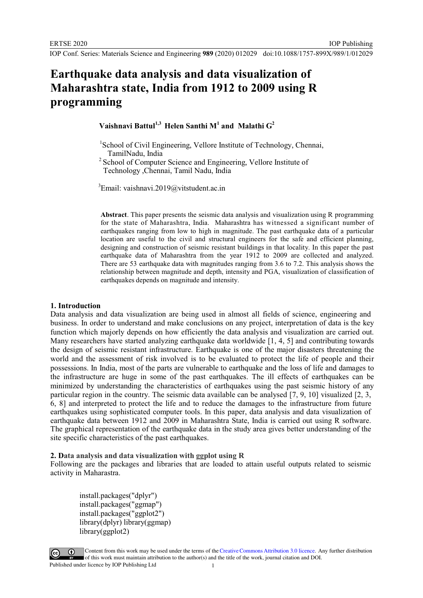IOP Publishing

 **Vaishnavi Battul1,3 Helen Santhi M<sup>1</sup>and Malathi G<sup>2</sup>**

- <sup>1</sup>School of Civil Engineering, Vellore Institute of Technology, Chennai, TamilNadu, India
- <sup>2</sup> School of Computer Science and Engineering, Vellore Institute of Technology ,Chennai, Tamil Nadu, India

 ${}^{3}$ Email: vaishnavi.2019@vitstudent.ac.in

**Abstract**. This paper presents the seismic data analysis and visualization using R programming for the state of Maharashtra, India. Maharashtra has witnessed a significant number of earthquakes ranging from low to high in magnitude. The past earthquake data of a particular location are useful to the civil and structural engineers for the safe and efficient planning, designing and construction of seismic resistant buildings in that locality. In this paper the past earthquake data of Maharashtra from the year 1912 to 2009 are collected and analyzed. There are 53 earthquake data with magnitudes ranging from 3.6 to 7.2. This analysis shows the relationship between magnitude and depth, intensity and PGA, visualization of classification of earthquakes depends on magnitude and intensity.

## **1. Introduction**

Data analysis and data visualization are being used in almost all fields of science, engineering and business. In order to understand and make conclusions on any project, interpretation of data is the key function which majorly depends on how efficiently the data analysis and visualization are carried out. Many researchers have started analyzing earthquake data worldwide [1, 4, 5] and contributing towards the design of seismic resistant infrastructure. Earthquake is one of the major disasters threatening the world and the assessment of risk involved is to be evaluated to protect the life of people and their possessions. In India, most of the parts are vulnerable to earthquake and the loss of life and damages to the infrastructure are huge in some of the past earthquakes. The ill effects of earthquakes can be minimized by understanding the characteristics of earthquakes using the past seismic history of any particular region in the country. The seismic data available can be analysed [7, 9, 10] visualized [2, 3, 6, 8] and interpreted to protect the life and to reduce the damages to the infrastructure from future earthquakes using sophisticated computer tools. In this paper, data analysis and data visualization of earthquake data between 1912 and 2009 in Maharashtra State, India is carried out using R software. The graphical representation of the earthquake data in the study area gives better understanding of the site specific characteristics of the past earthquakes.

**2. Data analysis and data visualization with ggplot using R**

Following are the packages and libraries that are loaded to attain useful outputs related to seismic activity in Maharastra.

install.packages("dplyr") install.packages("ggmap") install.packages("ggplot2") library(dplyr) library(ggmap) library(ggplot2)



Content from this work may be used under the terms of theCreative Commons Attribution 3.0 licence. Any further distribution of this work must maintain attribution to the author(s) and the title of the work, journal citation and DOI. Published under licence by IOP Publishing Ltd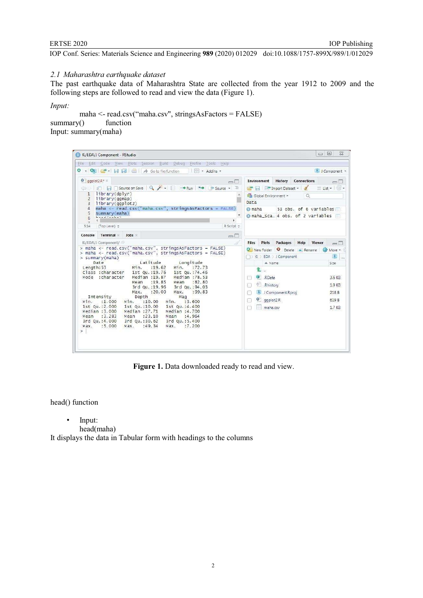## *2.1 Maharashtra earthquake dataset*

The past earthquake data of Maharashtra State are collected from the year 1912 to 2009 and the following steps are followed to read and view the data (Figure 1).

*Input:*

maha <- read.csv("maha.csv", stringsAsFactors = FALSE)<br> $v()$  function  $summary()$ Input: summary(maha)

| K:/EDA/J Component - RStudio                                                                                                                                                                                                                                                                                                                                                                                                                                                                                                                                                                                                                                                                                                                                                                                                                                                                                                                                                                                                                                                                                                                                                                                                     | $\Box$                                                                                                                                                                                                                                                                                                                                                                                                                                 | $\Sigma$<br>$\boxed{\square}$                                                                                                                                  |
|----------------------------------------------------------------------------------------------------------------------------------------------------------------------------------------------------------------------------------------------------------------------------------------------------------------------------------------------------------------------------------------------------------------------------------------------------------------------------------------------------------------------------------------------------------------------------------------------------------------------------------------------------------------------------------------------------------------------------------------------------------------------------------------------------------------------------------------------------------------------------------------------------------------------------------------------------------------------------------------------------------------------------------------------------------------------------------------------------------------------------------------------------------------------------------------------------------------------------------|----------------------------------------------------------------------------------------------------------------------------------------------------------------------------------------------------------------------------------------------------------------------------------------------------------------------------------------------------------------------------------------------------------------------------------------|----------------------------------------------------------------------------------------------------------------------------------------------------------------|
| File<br>Edit Code View Plots Session Build Debug<br>Profile<br>Help<br>Tools                                                                                                                                                                                                                                                                                                                                                                                                                                                                                                                                                                                                                                                                                                                                                                                                                                                                                                                                                                                                                                                                                                                                                     |                                                                                                                                                                                                                                                                                                                                                                                                                                        |                                                                                                                                                                |
| ۰<br>$-$ OR $-$<br>$\Box$ $\Box$ $\Diamond$ Go to file/function<br>- Addins -                                                                                                                                                                                                                                                                                                                                                                                                                                                                                                                                                                                                                                                                                                                                                                                                                                                                                                                                                                                                                                                                                                                                                    |                                                                                                                                                                                                                                                                                                                                                                                                                                        | <b>A</b> J Component *                                                                                                                                         |
| $\bullet$ eqplot2.R* $\times$<br>$\Box$<br><b>5 日日○Source on Save</b> Q / - 日 → Run → H → Source - 三<br>library(dplyr)<br>$\mathbf{1}$<br>library(qqmap)<br>$\overline{2}$<br>3<br>library(qqplot2)<br>$\overline{4}$<br>maha <- read.csv("maha.csv", stringsAsFactors = $FALSE$ )<br>5<br>summary(maha)<br>$\ddot{6}$<br>r<br>$\overline{7}$<br>5:14<br>(Top Level) :<br>R Script ±<br>Terminal ×<br>Console<br>Jobs<br>$\Box$<br>K:/EDA/J Component/<br>> maha <- read.csv("maha.csv", stringsAsFactors = FALSE)<br>> maha <- read.csv("maha.csv", stringsAsFactors = FALSE)<br>> summary(maha)<br>Latitude<br>Date<br>Longitude<br>Min.<br>: 19.62<br>:72.73<br>Length: 53<br>Min.<br>Class : character<br>1st Qu.: 19.76<br>1st Qu.: 74.46<br>Mode : character<br>Median $:19.87$<br>Median :78.53<br>: 19.85<br>:82.80<br>Mean<br>Mean<br>3rd Qu.:19.96<br>3rd Qu.: 94.03<br>: 20.00<br>Max.<br>: 99.83<br>Max.<br>Intensity<br>Depth<br>Mag<br>:1.000<br>:10.00<br>Min.<br>Min.<br>Min.<br>: 3.600<br>1st Qu.: 2.000<br>1st Qu.:10.00<br>1st Qu.: 4.400<br>Median :3.000<br>Median : 27.71<br>Median :4.700<br>: 3.283<br>: 23.10<br>:4.964<br>Mean<br>Mean<br>Mean<br>3rd Qu. : 4,000<br>3rd Qu.:30.62<br>3rd Qu. : 5,400 | Environment<br><b>History</b><br><b>Connections</b><br>Import Dataset v<br>$\rightarrow$<br>Global Environment<br>$\Omega$<br>Data<br>53 obs. of 6 variables<br><b>O</b> maha<br>O maha Sca. 4 obs. of 2 variables<br>Files<br>Plots<br>Packages<br>Help<br><b>Viewer</b><br>Of New Folder   O Delete   Rename<br>◯ X: > EDA > J Component<br>A Name<br>Ø.<br>.RData<br>.Rhistory<br>J Component.Rproj<br>O T<br>gqplot2.R<br>maha.csv | $\Box$<br>$\equiv$ List $\bullet$ $\mid$ $\mathbb{C}$ $\bullet$<br>$-\Box$<br>More -<br>R.<br>$\cdots$<br>Size<br>3.6 KB<br>1.9 KB<br>218 B<br>619 B<br>1.7 KB |

**Figure 1.** Data downloaded ready to read and view.

head() function

• Input:

head(maha)

It displays the data in Tabular form with headings to the columns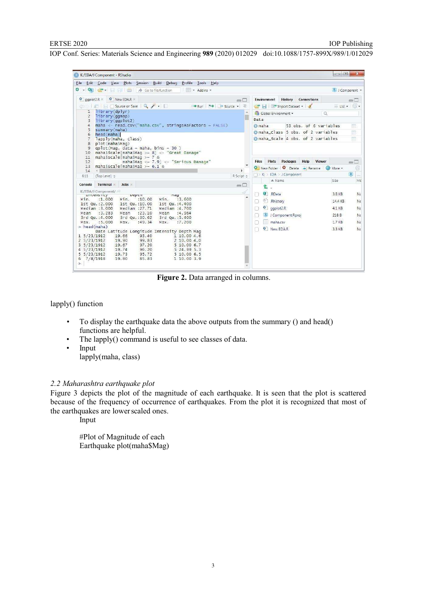| K:/EDA/J Component - RStudio                                                                                                                                                                                                                                                                                                                                                                                                                                                                                                                                                                                                                                                                                                                                                                                                                                   | $\overline{\mathbf{x}}$<br>$\Box$<br>فصفا                                                                                                                                                                                                                                                                                                                                                                                                                             |
|----------------------------------------------------------------------------------------------------------------------------------------------------------------------------------------------------------------------------------------------------------------------------------------------------------------------------------------------------------------------------------------------------------------------------------------------------------------------------------------------------------------------------------------------------------------------------------------------------------------------------------------------------------------------------------------------------------------------------------------------------------------------------------------------------------------------------------------------------------------|-----------------------------------------------------------------------------------------------------------------------------------------------------------------------------------------------------------------------------------------------------------------------------------------------------------------------------------------------------------------------------------------------------------------------------------------------------------------------|
| File Edit Code View Plots Session Build Debug Profile Tools Help                                                                                                                                                                                                                                                                                                                                                                                                                                                                                                                                                                                                                                                                                                                                                                                               |                                                                                                                                                                                                                                                                                                                                                                                                                                                                       |
| $\bullet$ .<br><b>CRT</b><br>$\rightarrow$<br>$\Box$ $\Box$ $\rightarrow$ Go to file/function<br>New Addins                                                                                                                                                                                                                                                                                                                                                                                                                                                                                                                                                                                                                                                                                                                                                    | I J Component .                                                                                                                                                                                                                                                                                                                                                                                                                                                       |
| $\bullet$ ggplot2.R $\times$<br>New EDA.R X<br>$=$ $\Box$<br><b>Contract of the Contract of Source on Save Q 2</b><br>$5 - 5$<br>₩ Source ▼<br>$\rightarrow$ Run<br>library(dplyr)<br>$\mathbf{1}$<br>library(qqmap)<br>$\overline{2}$<br>library(qqplot2)<br>3<br>maha <- read.csv("maha.csv", stringsAsFactors = FALSE)<br>$\overline{4}$<br>5<br>summary(maha)<br>6<br>head (maha)<br>lapply(maha, class)<br>7<br>plot (maha\$Maq)<br>8<br>$qplot(Maq, data = maha, bins = 30)$<br>9<br>maha\$Scale[maha\$Maq >= $8$ ] <- "Great Damage"<br>10<br>maha\$scale[maha\$Maq >= $7$ &<br>11<br>12<br>maha\$Maq <= $7.9$ ] <- "Serious Damage"<br>maha\$scale[maha\$Maq >= $6.1$ &<br>13<br>14<br>R Script &<br>(Top Level) :<br>6:11                                                                                                                             | Connections<br>Environment<br>History<br>$\equiv$<br>$\equiv$ List $\bullet$ $\circ$ $\bullet$<br>Import Dataset .<br>$\alpha$<br>Global Environment *<br><b>Data</b><br>53 obs. of 6 variables<br>maha<br>画<br>信<br>Omaha_Class 5 obs. of 2 variables<br>曲<br>maha_scale 4 obs. of 2 variables<br>Plots<br>Packages<br>Help<br><b>Viewer</b><br><b>Files</b><br>$\Box$<br>G<br>New Folder   O Delete   Rename   More *<br>R<br>$\Box$<br>EDA > J Component<br>$-224$ |
| <b>Jobs</b><br>Console<br><b>Terminal</b><br>oП<br>K:/EDA/J Component/<br>Deptit<br><b>INLENSILY</b><br>May<br>: 3.600<br>Min.<br>: 1.000<br>Min.<br>:10.00<br>Min.<br>1st Ou.: 2.000<br>1st Ou.:10.00<br>1st Ou.: 4.400<br>Median : 3,000<br>Median : 27.71<br>Median :4.700<br>:3.283<br>: 23.10<br>Mean<br>:4.964<br>Mean<br>Mean<br>3rd Qu.: 30.62<br>3rd Qu. : 4.000<br>3rd Qu.: 5.400<br>:5.000<br>:49.34<br>:7.200<br>Max.<br>Max.<br>Max.<br>$>$ head (maha)<br>Date Latitude Longitude Intensity Depth Mag<br>1, 5/23/1912<br>19.66<br>93.40<br>1 10.00 4.6<br>$2\frac{5}{23}/1912$<br>19.90<br>99.83<br>2, 10, 00, 4, 0<br>$3\frac{5}{23}/1912$<br>19.67<br>97.20<br>5 10.00 6.7<br>4 5/23/1912<br>19.74<br>96.20<br>524.995.3<br>19.73<br>95.72<br>$5 \frac{5}{23}/1912$<br>5 10.00 6.5<br>19.80<br>85.83<br>7/8/1918<br>6<br>1 10.00 3.9<br>$\geq$ | A Name<br>Size<br>Mc<br>÷.<br>$\mathbf{R}$<br>3.8 KB<br>.RData<br>No<br>$\odot$<br>.Rhistory<br>14.4 KB<br>N:<br>Ð<br>$^{\circ}$<br>qqplot2.R<br>4.1 KB<br>No<br>J Component.Rproj<br>218 B<br>No<br>maha.csv<br>No<br>1.7 KB<br>No<br><sup>O</sup> New EDA.R<br>3.3 KB                                                                                                                                                                                               |

**Figure 2.** Data arranged in columns.

lapply() function

- To display the earthquake data the above outputs from the summary () and head() functions are helpful.
- The lapply() command is useful to see classes of data.<br>• Input
- Input lapply(maha, class)

## *2.2 Maharashtra earthquake plot*

Figure 3 depicts the plot of the magnitude of each earthquake. It is seen that the plot is scattered because of the frequency of occurrence of earthquakes. From the plot it is recognized that most of the earthquakes are lower scaled ones.

Input

#Plot of Magnitude of each Earthquake plot(maha\$Mag)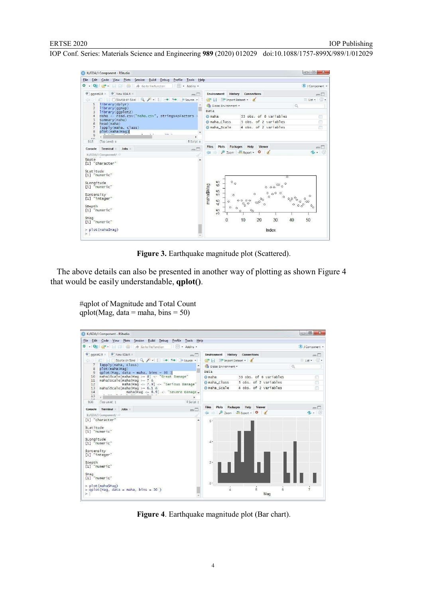

**Figure 3.** Earthquake magnitude plot (Scattered).

 The above details can also be presented in another way of plotting as shown Figure 4 that would be easily understandable, **qplot()**.

#qplot of Magnitude and Total Count qplot(Mag, data = maha, bins =  $50$ )

| K:/EDA/J Component - RStudio                                                                   |                  |                                  | $\Box$ $\Box$<br>$-x$                 |
|------------------------------------------------------------------------------------------------|------------------|----------------------------------|---------------------------------------|
| File Edit Code View Plots Session Build Debug<br>Profile<br>Tools Help                         |                  |                                  |                                       |
| $\Box$ $\Box$ $\Box$ $\Box$ Go to file/function<br>0.007<br>- Addins -                         |                  |                                  | J Component *                         |
| O New EDA.R<br>$\bullet$ gapiot2.R $\times$<br>$\Box\Box$                                      | Environment      | <b>History</b> Connections       | m D                                   |
| © 50   81         Source on Save   Q / -     →   9+   + Source -                               | Import Dataset . |                                  | $\equiv$ List $\cdot$ $\circ$ $\cdot$ |
| lapply(maha, class)<br>plot (maha\$Maq)<br>8                                                   |                  | Global Environment .<br>$\alpha$ |                                       |
| $aplot(Maq, data = maha, bins = 30)$<br>9                                                      | Dat a            |                                  |                                       |
| maha\$Scale[maha\$Maq >= $8$ ] <- "Great Damage"<br>10                                         | <b>O</b> maha    | 53 obs. of 6 variables           |                                       |
| maha\$Scale[maha\$Maq >= $7$ &<br>11<br>maha\$Maq <= $7.9$ ] <- "Serious Damage"<br>12         | O maha Class     | 5 obs. of 2 variables            | $\blacksquare$                        |
| maha\$Scale maha\$Maq >= $6.1$ &<br>13                                                         | C maha scale     | 4 obs. of 2 variables            | 面                                     |
| maha\$Maq <= $6.9$ ] <- "Severe Damage.<br>14<br>$\mathbf{B}$ of $\mathbf{A}$ and $\mathbf{B}$ |                  |                                  |                                       |
| 15<br>¥.<br>$\tau$                                                                             |                  |                                  |                                       |
| R Script ±<br>(Top Level) :<br>9:36                                                            |                  |                                  |                                       |
| Terminal x<br>Jobs<br>Console<br>$-\Box$                                                       | Plots<br>Files   | Packages<br>Help<br>Viewer       |                                       |
| K:/EDA/J Component/                                                                            | <b>信号</b>        | 2 Zoom - Export - 0              |                                       |
| [1] "character"                                                                                | $6 -$            |                                  |                                       |
| SLatitude                                                                                      |                  |                                  |                                       |
| [1] "numeric"                                                                                  |                  |                                  |                                       |
| SLongitude                                                                                     |                  |                                  |                                       |
| [1] "numeric"                                                                                  | $4 -$            |                                  |                                       |
|                                                                                                |                  |                                  |                                       |
| SIntensity<br>[1] "integer"                                                                    |                  |                                  |                                       |
|                                                                                                |                  |                                  |                                       |
| SDepth<br>[1] "numeric"                                                                        | $2 -$            |                                  |                                       |
|                                                                                                |                  |                                  |                                       |
| <b>SMag</b>                                                                                    |                  |                                  |                                       |
| $[1]$ "numeric"                                                                                | $0 -$            |                                  |                                       |
| $>$ $p$ l ot (maha\$Maq)                                                                       |                  |                                  |                                       |
| > $qplot(Maq, data = maha, bins = 30)$                                                         |                  | $\overline{5}$                   | $\overline{6}$                        |
| $\geq$                                                                                         |                  | Mag                              |                                       |

**Figure 4**. Earthquake magnitude plot (Bar chart).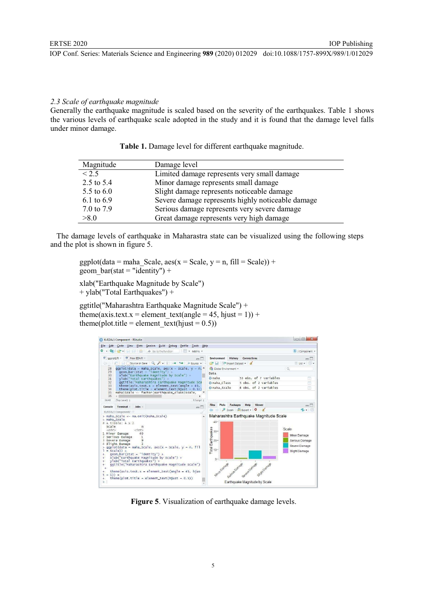#### *2.3 Scale of earthquake magnitude*

Generally the earthquake magnitude is scaled based on the severity of the earthquakes. Table 1 shows the various levels of earthquake scale adopted in the study and it is found that the damage level falls under minor damage.

| Magnitude    | Damage level                                      |
|--------------|---------------------------------------------------|
| < 2.5        | Limited damage represents very small damage       |
| 2.5 to 5.4   | Minor damage represents small damage              |
| 5.5 to $6.0$ | Slight damage represents noticeable damage        |
| 6.1 to 6.9   | Severe damage represents highly noticeable damage |
| 7.0 to 7.9   | Serious damage represents very severe damage      |
| >8.0         | Great damage represents very high damage          |

| Table 1. Damage level for different earthquake magnitude. |  |
|-----------------------------------------------------------|--|
|                                                           |  |

 The damage levels of earthquake in Maharastra state can be visualized using the following steps and the plot is shown in figure 5.

ggplot(data = maha\_Scale, aes(x = Scale, y = n, fill = Scale)) + geom bar(stat = "identity") +

xlab("Earthquake Magnitude by Scale") + ylab("Total Earthquakes") +

ggtitle("Maharashtra Earthquake Magnitude Scale") + theme(axis.text.x = element text(angle = 45, hjust = 1)) + theme(plot.title = element text(hjust =  $0.5$ ))



**Figure 5**. Visualization of earthquake damage levels.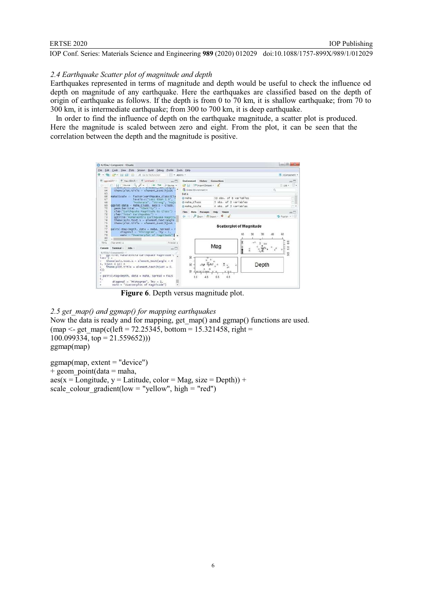### *2.4 Earthquake Scatter plot of magnitude and depth*

Earthquakes represented in terms of magnitude and depth would be useful to check the influence od depth on magnitude of any earthquake. Here the earthquakes are classified based on the depth of origin of earthquake as follows. If the depth is from 0 to 70 km, it is shallow earthquake; from 70 to 300 km, it is intermediate earthquake; from 300 to 700 km, it is deep earthquake.

 In order to find the influence of depth on the earthquake magnitude, a scatter plot is produced. Here the magnitude is scaled between zero and eight. From the plot, it can be seen that the correlation between the depth and the magnitude is positive.



 **Figure 6**. Depth versus magnitude plot.

*2.5 get\_map() and ggmap() for mapping earthquakes* Now the data is ready and for mapping, get map() and ggmap() functions are used.  $(map < - get map(c(left = 72.25345, bottom = 15.321458, right =$  $100.099334$ , top = 21.559652))) ggmap(map)

 $gamma(max, extent = "device")$  $+$  geom point(data = maha,  $\text{aes}(x = \text{Longitude}, y = \text{Latitude}, \text{color} = \text{Mag}, \text{size} = \text{Depth})$ ) + scale colour gradient(low = "yellow", high = "red")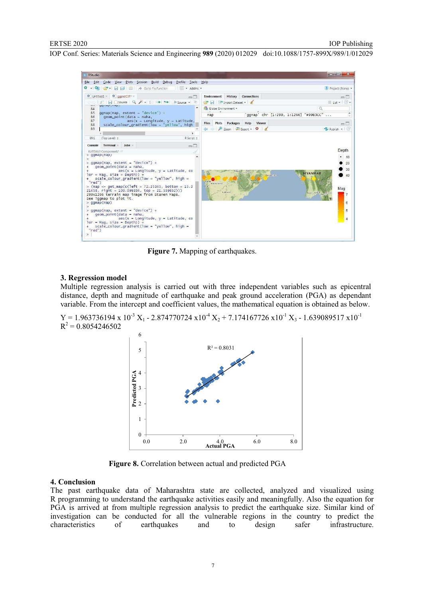

 **Figure 7.** Mapping of earthquakes.

#### **3. Regression model**

Multiple regression analysis is carried out with three independent variables such as epicentral distance, depth and magnitude of earthquake and peak ground acceleration (PGA) as dependant variable. From the intercept and coefficient values, the mathematical equation is obtained as below.

 $Y = 1.963736194 \times 10^{-3} X_1 - 2.874770724 \times 10^{-4} X_2 + 7.174167726 \times 10^{-1} X_3 - 1.639089517 \times 10^{-1}$  $R^2$  = 0.8054246502



 **Figure 8.** Correlation between actual and predicted PGA

#### **4. Conclusion**

The past earthquake data of Maharashtra state are collected, analyzed and visualized using R programming to understand the earthquake activities easily and meaningfully. Also the equation for PGA is arrived at from multiple regression analysis to predict the earthquake size. Similar kind of investigation can be conducted for all the vulnerable regions in the country to predict the characteristics of earthquakes and to design safer infrastructure. of earthquakes and to design safer infrastructure.